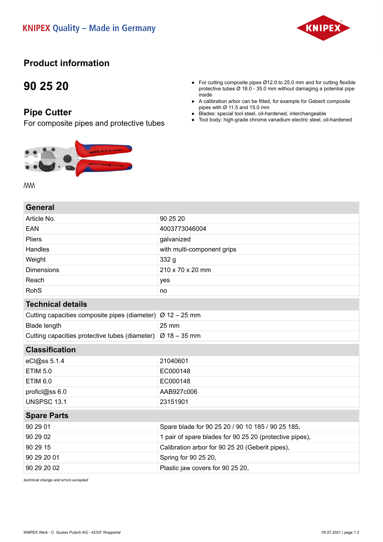

### **Product information**

## **90 25 20**

#### **Pipe Cutter**

For composite pipes and protective tubes



#### ● For cutting composite pipes Ø12.0 to 25.0 mm and for cutting flexible protective tubes Ø 18.0 - 35.0 mm without damaging a potential pipe inside

- A calibration arbor can be fitted, for example for Geberit composite pipes with Ø 11.5 and 15.0 mm
- Blades: special tool steel, oil-hardened, interchangeable
- Tool body: high-grade chrome vanadium electric steel, oil-hardened

**MW** 

| General                                                                 |                                                         |
|-------------------------------------------------------------------------|---------------------------------------------------------|
| Article No.                                                             | 90 25 20                                                |
| <b>EAN</b>                                                              | 4003773046004                                           |
| Pliers                                                                  | galvanized                                              |
| Handles                                                                 | with multi-component grips                              |
| Weight                                                                  | 332 g                                                   |
| <b>Dimensions</b>                                                       | 210 x 70 x 20 mm                                        |
| Reach                                                                   | yes                                                     |
| <b>RohS</b>                                                             | no                                                      |
| <b>Technical details</b>                                                |                                                         |
| Cutting capacities composite pipes (diameter) $\varnothing$ 12 – 25 mm  |                                                         |
| <b>Blade length</b>                                                     | 25 mm                                                   |
| Cutting capacities protective tubes (diameter) $\varnothing$ 18 – 35 mm |                                                         |
| <b>Classification</b>                                                   |                                                         |
| eCl@ss 5.1.4                                                            | 21040601                                                |
| <b>ETIM 5.0</b>                                                         | EC000148                                                |
| <b>ETIM 6.0</b>                                                         | EC000148                                                |
| proficl@ss 6.0                                                          | AAB927c006                                              |
| <b>UNSPSC 13.1</b>                                                      | 23151901                                                |
| <b>Spare Parts</b>                                                      |                                                         |
|                                                                         |                                                         |
| 90 29 01                                                                | Spare blade for 90 25 20 / 90 10 185 / 90 25 185,       |
| 90 29 02                                                                | 1 pair of spare blades for 90 25 20 (protective pipes), |
| 90 29 15                                                                | Calibration arbor for 90 25 20 (Geberit pipes),         |
| 90 29 20 01                                                             | Spring for 90 25 20,                                    |
| 90 29 20 02                                                             | Plastic jaw covers for 90 25 20,                        |

*technical change and errors excepted*